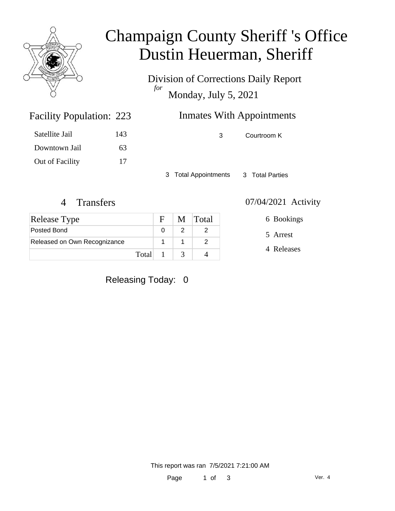

### Champaign County Sheriff 's Office Dustin Heuerman, Sheriff

Division of Corrections Daily Report *for* Monday, July 5, 2021

### Inmates With Appointments

Satellite Jail 143 Downtown Jail 63 Out of Facility 17

Facility Population: 223

3 Courtroom K

3 Total Appointments 3 Total Parties

| <b>Release Type</b>          |         |               | M Total |
|------------------------------|---------|---------------|---------|
| Posted Bond                  |         |               |         |
| Released on Own Recognizance |         |               |         |
|                              | Total 1 | $\mathcal{R}$ |         |

4 Transfers 07/04/2021 Activity

5 Arrest 6 Bookings

4 Releases

Releasing Today: 0

This report was ran 7/5/2021 7:21:00 AM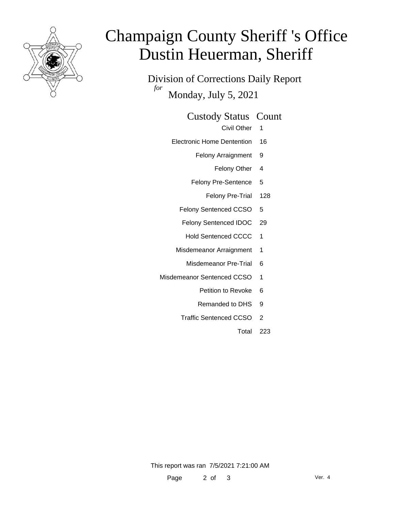

# Champaign County Sheriff 's Office Dustin Heuerman, Sheriff

Division of Corrections Daily Report *for* Monday, July 5, 2021

#### Custody Status Count

- Civil Other 1
- Electronic Home Dentention 16
	- Felony Arraignment 9
		- Felony Other 4
	- Felony Pre-Sentence 5
		- Felony Pre-Trial 128
	- Felony Sentenced CCSO 5
	- Felony Sentenced IDOC 29
		- Hold Sentenced CCCC 1
	- Misdemeanor Arraignment 1
		- Misdemeanor Pre-Trial 6
- Misdemeanor Sentenced CCSO 1
	- Petition to Revoke 6
	- Remanded to DHS 9
	- Traffic Sentenced CCSO 2
		- Total 223

This report was ran 7/5/2021 7:21:00 AM